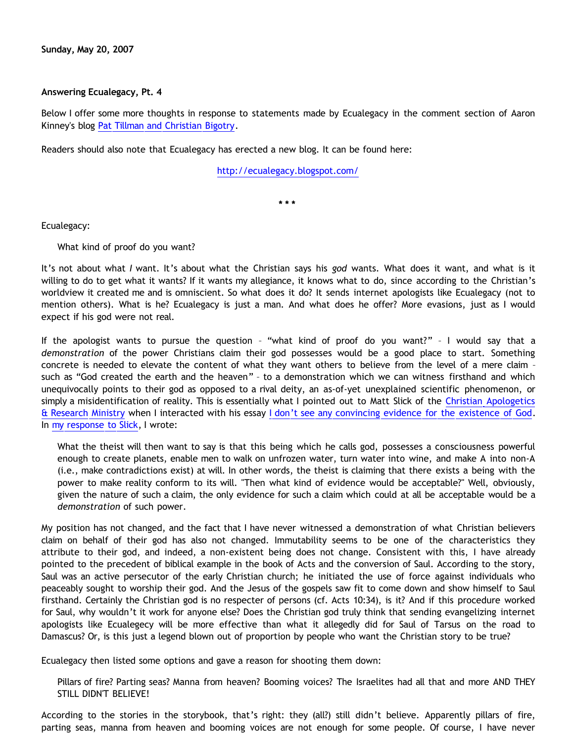**Sunday, May 20, 2007**

## **Answering Ecualegacy, Pt. 4**

Below I offer some more thoughts in response to statements made by Ecualegacy in the comment section of Aaron Kinney's blog [Pat Tillman and Christian Bigotry.](http://killtheafterlife.blogspot.com/2007/04/pat-tillman-and-christian-bigotry.html)

Readers should also note that Ecualegacy has erected a new blog. It can be found here:

<http://ecualegacy.blogspot.com/>

**\* \* \***

Ecualegacy:

What kind of proof do you want?

It's not about what *I* want. It's about what the Christian says his *god* wants. What does it want, and what is it willing to do to get what it wants? If it wants my allegiance, it knows what to do, since according to the Christian's worldview it created me and is omniscient. So what does it do? It sends internet apologists like Ecualegacy (not to mention others). What is he? Ecualegacy is just a man. And what does he offer? More evasions, just as I would expect if his god were not real.

If the apologist wants to pursue the question – "what kind of proof do you want?" – I would say that a *demonstration* of the power Christians claim their god possesses would be a good place to start. Something concrete is needed to elevate the content of what they want others to believe from the level of a mere claim – such as "God created the earth and the heaven" – to a demonstration which we can witness firsthand and which unequivocally points to their god as opposed to a rival deity, an as-of-yet unexplained scientific phenomenon, or simply a misidentification of reality. This is essentially what I pointed out to Matt Slick of the [Christian Apologetics](http://www.carm.org/) [& Research Ministry](http://www.carm.org/) when I interacted with his essay [I don't see any convincing evidence for the existence of God](http://www.carm.org/atheism/noevidence.htm). In [my response to Slick,](http://www.geocities.com/katholon/CARM/Slicks_Foolery.htm) I wrote:

What the theist will then want to say is that this being which he calls god, possesses a consciousness powerful enough to create planets, enable men to walk on unfrozen water, turn water into wine, and make A into non-A (i.e., make contradictions exist) at will. In other words, the theist is claiming that there exists a being with the power to make reality conform to its will. "Then what kind of evidence would be acceptable?" Well, obviously, given the nature of such a claim, the only evidence for such a claim which could at all be acceptable would be a *demonstration* of such power.

My position has not changed, and the fact that I have never witnessed a demonstration of what Christian believers claim on behalf of their god has also not changed. Immutability seems to be one of the characteristics they attribute to their god, and indeed, a non-existent being does not change. Consistent with this, I have already pointed to the precedent of biblical example in the book of Acts and the conversion of Saul. According to the story, Saul was an active persecutor of the early Christian church; he initiated the use of force against individuals who peaceably sought to worship their god. And the Jesus of the gospels saw fit to come down and show himself to Saul firsthand. Certainly the Christian god is no respecter of persons (cf. Acts 10:34), is it? And if this procedure worked for Saul, why wouldn't it work for anyone else? Does the Christian god truly think that sending evangelizing internet apologists like Ecualegecy will be more effective than what it allegedly did for Saul of Tarsus on the road to Damascus? Or, is this just a legend blown out of proportion by people who want the Christian story to be true?

Ecualegacy then listed some options and gave a reason for shooting them down:

Pillars of fire? Parting seas? Manna from heaven? Booming voices? The Israelites had all that and more AND THEY STILL DIDN'T BELIEVE!

According to the stories in the storybook, that's right: they (all?) still didn't believe. Apparently pillars of fire, parting seas, manna from heaven and booming voices are not enough for some people. Of course, I have never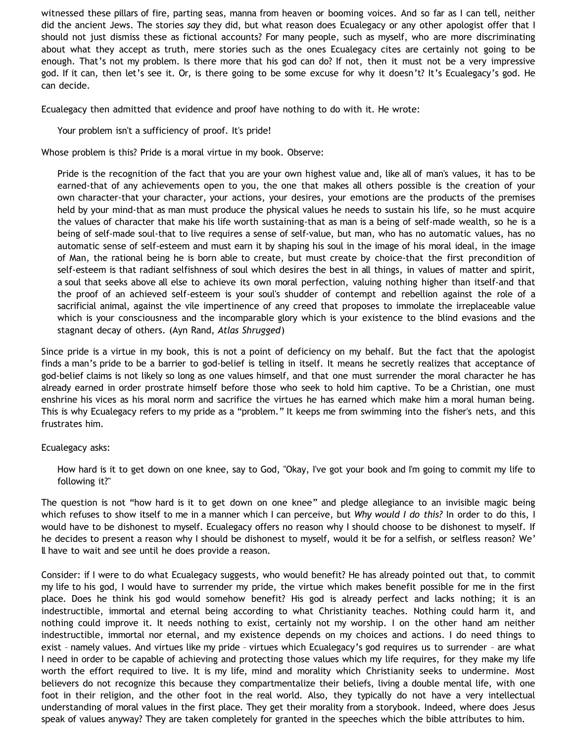witnessed these pillars of fire, parting seas, manna from heaven or booming voices. And so far as I can tell, neither did the ancient Jews. The stories *say* they did, but what reason does Ecualegacy or any other apologist offer that I should not just dismiss these as fictional accounts? For many people, such as myself, who are more discriminating about what they accept as truth, mere stories such as the ones Ecualegacy cites are certainly not going to be enough. That's not my problem. Is there more that his god can do? If not, then it must not be a very impressive god. If it can, then let's see it. Or, is there going to be some excuse for why it doesn't? It's Ecualegacy's god. He can decide.

Ecualegacy then admitted that evidence and proof have nothing to do with it. He wrote:

Your problem isn't a sufficiency of proof. It's pride!

Whose problem is this? Pride is a moral virtue in my book. Observe:

Pride is the recognition of the fact that you are your own highest value and, like all of man's values, it has to be earned-that of any achievements open to you, the one that makes all others possible is the creation of your own character-that your character, your actions, your desires, your emotions are the products of the premises held by your mind-that as man must produce the physical values he needs to sustain his life, so he must acquire the values of character that make his life worth sustaining-that as man is a being of self-made wealth, so he is a being of self-made soul-that to live requires a sense of self-value, but man, who has no automatic values, has no automatic sense of self-esteem and must earn it by shaping his soul in the image of his moral ideal, in the image of Man, the rational being he is born able to create, but must create by choice-that the first precondition of self-esteem is that radiant selfishness of soul which desires the best in all things, in values of matter and spirit, a soul that seeks above all else to achieve its own moral perfection, valuing nothing higher than itself-and that the proof of an achieved self-esteem is your soul's shudder of contempt and rebellion against the role of a sacrificial animal, against the vile impertinence of any creed that proposes to immolate the irreplaceable value which is your consciousness and the incomparable glory which is your existence to the blind evasions and the stagnant decay of others. (Ayn Rand, *Atlas Shrugged*)

Since pride is a virtue in my book, this is not a point of deficiency on my behalf. But the fact that the apologist finds a man's pride to be a barrier to god-belief is telling in itself. It means he secretly realizes that acceptance of god-belief claims is not likely so long as one values himself, and that one must surrender the moral character he has already earned in order prostrate himself before those who seek to hold him captive. To be a Christian, one must enshrine his vices as his moral norm and sacrifice the virtues he has earned which make him a moral human being. This is why Ecualegacy refers to my pride as a "problem." It keeps me from swimming into the fisher's nets, and this frustrates him.

## Ecualegacy asks:

How hard is it to get down on one knee, say to God, "Okay, I've got your book and I'm going to commit my life to following it?"

The question is not "how hard is it to get down on one knee" and pledge allegiance to an invisible magic being which refuses to show itself to me in a manner which I can perceive, but *Why would I do this?* In order to do this, I would have to be dishonest to myself. Ecualegacy offers no reason why I should choose to be dishonest to myself. If he decides to present a reason why I should be dishonest to myself, would it be for a selfish, or selfless reason? We' ll have to wait and see until he does provide a reason.

Consider: if I were to do what Ecualegacy suggests, who would benefit? He has already pointed out that, to commit my life to his god, I would have to surrender my pride, the virtue which makes benefit possible for me in the first place. Does he think his god would somehow benefit? His god is already perfect and lacks nothing; it is an indestructible, immortal and eternal being according to what Christianity teaches. Nothing could harm it, and nothing could improve it. It needs nothing to exist, certainly not my worship. I on the other hand am neither indestructible, immortal nor eternal, and my existence depends on my choices and actions. I do need things to exist – namely values. And virtues like my pride – virtues which Ecualegacy's god requires us to surrender – are what I need in order to be capable of achieving and protecting those values which my life requires, for they make my life worth the effort required to live. It is my life, mind and morality which Christianity seeks to undermine. Most believers do not recognize this because they compartmentalize their beliefs, living a double mental life, with one foot in their religion, and the other foot in the real world. Also, they typically do not have a very intellectual understanding of moral values in the first place. They get their morality from a storybook. Indeed, where does Jesus speak of values anyway? They are taken completely for granted in the speeches which the bible attributes to him.